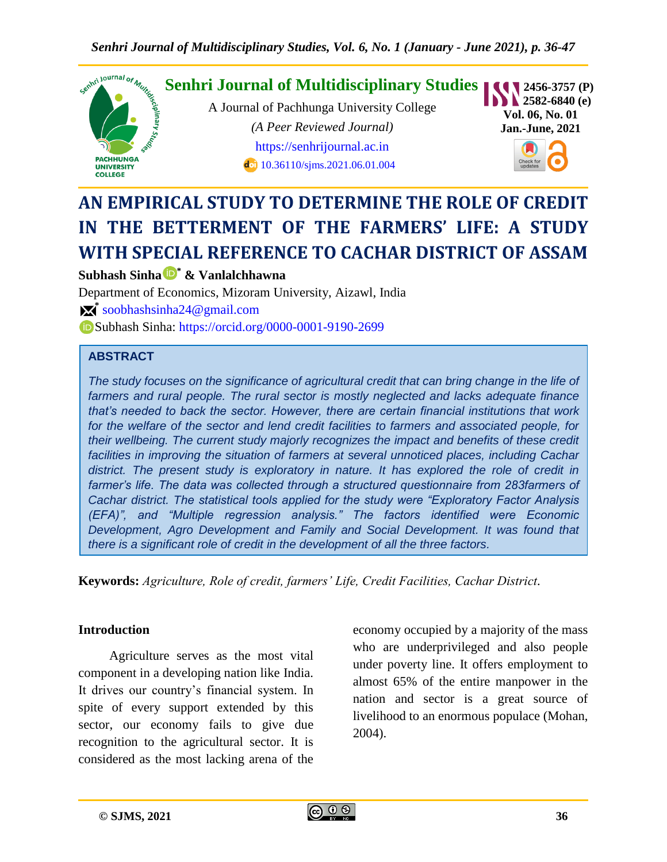

# **AN EMPIRICAL STUDY TO DETERMINE THE ROLE OF CREDIT IN THE BETTERMENT OF THE FARMERS' LIFE: A STUDY WITH SPECIAL REFERENCE TO CACHAR DISTRICT OF ASSAM**

# **Subhash Sinha \* & Vanlalchhawna**

Department of Economics, Mizoram University, Aizawl, India **\*** [soobhashsinha24@gmail.com](mailto:soobhashsinha24@gmail.com) Subhash Sinha: <https://orcid.org/0000-0001-9190-2699>

# **ABSTRACT**

*The study focuses on the significance of agricultural credit that can bring change in the life of*  farmers and rural people. The rural sector is mostly neglected and lacks adequate finance *that's needed to back the sector. However, there are certain financial institutions that work for the welfare of the sector and lend credit facilities to farmers and associated people, for their wellbeing. The current study majorly recognizes the impact and benefits of these credit*  facilities in improving the situation of farmers at several unnoticed places, including Cachar *district. The present study is exploratory in nature. It has explored the role of credit in farmer's life. The data was collected through a structured questionnaire from 283farmers of Cachar district. The statistical tools applied for the study were "Exploratory Factor Analysis (EFA)", and "Multiple regression analysis." The factors identified were Economic Development, Agro Development and Family and Social Development. It was found that there is a significant role of credit in the development of all the three factors.*

**Keywords:** *Agriculture, Role of credit, farmers' Life, Credit Facilities, Cachar District.*

## **Introduction**

Agriculture serves as the most vital component in a developing nation like India. It drives our country's financial system. In spite of every support extended by this sector, our economy fails to give due recognition to the agricultural sector. It is considered as the most lacking arena of the

economy occupied by a majority of the mass who are underprivileged and also people under poverty line. It offers employment to almost 65% of the entire manpower in the nation and sector is a great source of livelihood to an enormous populace (Mohan, 2004).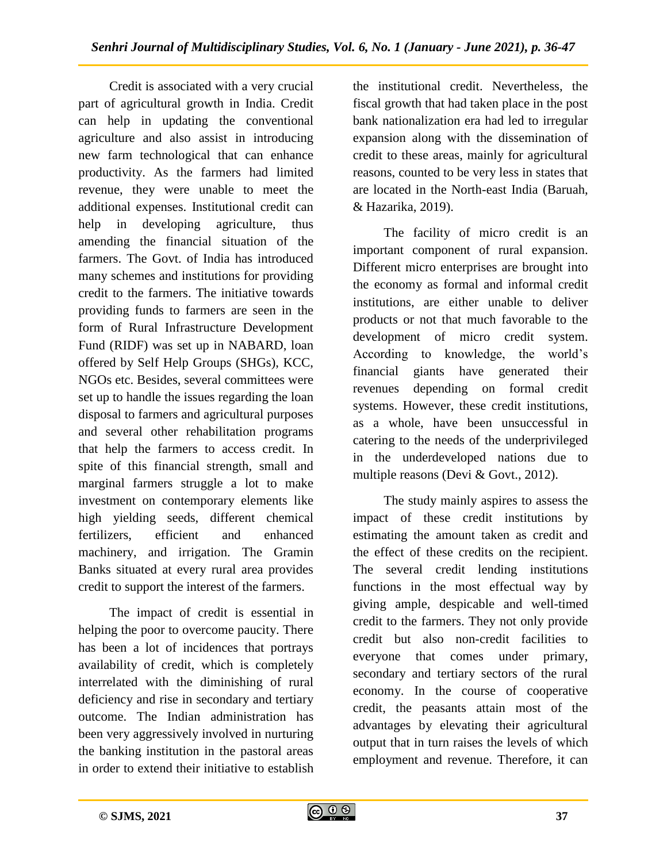Credit is associated with a very crucial part of agricultural growth in India. Credit can help in updating the conventional agriculture and also assist in introducing new farm technological that can enhance productivity. As the farmers had limited revenue, they were unable to meet the additional expenses. Institutional credit can help in developing agriculture, thus amending the financial situation of the farmers. The Govt. of India has introduced many schemes and institutions for providing credit to the farmers. The initiative towards providing funds to farmers are seen in the form of Rural Infrastructure Development Fund (RIDF) was set up in NABARD, loan offered by Self Help Groups (SHGs), KCC, NGOs etc. Besides, several committees were set up to handle the issues regarding the loan disposal to farmers and agricultural purposes and several other rehabilitation programs that help the farmers to access credit. In spite of this financial strength, small and marginal farmers struggle a lot to make investment on contemporary elements like high yielding seeds, different chemical fertilizers, efficient and enhanced machinery, and irrigation. The Gramin Banks situated at every rural area provides credit to support the interest of the farmers.

The impact of credit is essential in helping the poor to overcome paucity. There has been a lot of incidences that portrays availability of credit, which is completely interrelated with the diminishing of rural deficiency and rise in secondary and tertiary outcome. The Indian administration has been very aggressively involved in nurturing the banking institution in the pastoral areas in order to extend their initiative to establish

the institutional credit. Nevertheless, the fiscal growth that had taken place in the post bank nationalization era had led to irregular expansion along with the dissemination of credit to these areas, mainly for agricultural reasons, counted to be very less in states that are located in the North-east India (Baruah, & Hazarika, 2019).

The facility of micro credit is an important component of rural expansion. Different micro enterprises are brought into the economy as formal and informal credit institutions, are either unable to deliver products or not that much favorable to the development of micro credit system. According to knowledge, the world's financial giants have generated their revenues depending on formal credit systems. However, these credit institutions, as a whole, have been unsuccessful in catering to the needs of the underprivileged in the underdeveloped nations due to multiple reasons (Devi & Govt., 2012).

The study mainly aspires to assess the impact of these credit institutions by estimating the amount taken as credit and the effect of these credits on the recipient. The several credit lending institutions functions in the most effectual way by giving ample, despicable and well-timed credit to the farmers. They not only provide credit but also non-credit facilities to everyone that comes under primary, secondary and tertiary sectors of the rural economy. In the course of cooperative credit, the peasants attain most of the advantages by elevating their agricultural output that in turn raises the levels of which employment and revenue. Therefore, it can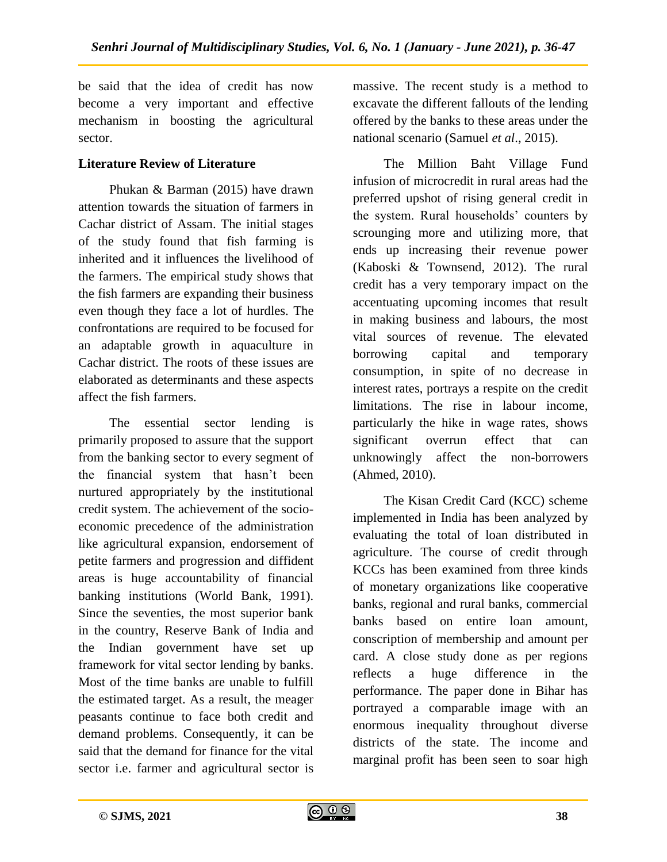be said that the idea of credit has now become a very important and effective mechanism in boosting the agricultural sector.

## **Literature Review of Literature**

Phukan & Barman (2015) have drawn attention towards the situation of farmers in Cachar district of Assam. The initial stages of the study found that fish farming is inherited and it influences the livelihood of the farmers. The empirical study shows that the fish farmers are expanding their business even though they face a lot of hurdles. The confrontations are required to be focused for an adaptable growth in aquaculture in Cachar district. The roots of these issues are elaborated as determinants and these aspects affect the fish farmers.

The essential sector lending is primarily proposed to assure that the support from the banking sector to every segment of the financial system that hasn't been nurtured appropriately by the institutional credit system. The achievement of the socioeconomic precedence of the administration like agricultural expansion, endorsement of petite farmers and progression and diffident areas is huge accountability of financial banking institutions (World Bank, 1991). Since the seventies, the most superior bank in the country, Reserve Bank of India and the Indian government have set up framework for vital sector lending by banks. Most of the time banks are unable to fulfill the estimated target. As a result, the meager peasants continue to face both credit and demand problems. Consequently, it can be said that the demand for finance for the vital sector i.e. farmer and agricultural sector is

massive. The recent study is a method to excavate the different fallouts of the lending offered by the banks to these areas under the national scenario (Samuel *et al*., 2015).

The Million Baht Village Fund infusion of microcredit in rural areas had the preferred upshot of rising general credit in the system. Rural households' counters by scrounging more and utilizing more, that ends up increasing their revenue power (Kaboski & Townsend, 2012). The rural credit has a very temporary impact on the accentuating upcoming incomes that result in making business and labours, the most vital sources of revenue. The elevated borrowing capital and temporary consumption, in spite of no decrease in interest rates, portrays a respite on the credit limitations. The rise in labour income, particularly the hike in wage rates, shows significant overrun effect that can unknowingly affect the non-borrowers (Ahmed, 2010).

The Kisan Credit Card (KCC) scheme implemented in India has been analyzed by evaluating the total of loan distributed in agriculture. The course of credit through KCCs has been examined from three kinds of monetary organizations like cooperative banks, regional and rural banks, commercial banks based on entire loan amount, conscription of membership and amount per card. A close study done as per regions reflects a huge difference in the performance. The paper done in Bihar has portrayed a comparable image with an enormous inequality throughout diverse districts of the state. The income and marginal profit has been seen to soar high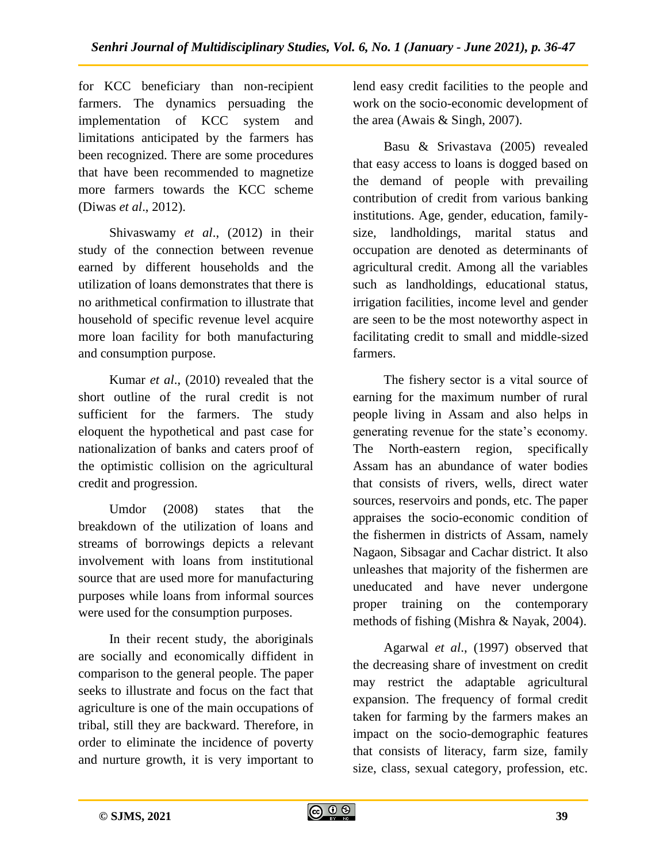for KCC beneficiary than non-recipient farmers. The dynamics persuading the implementation of KCC system and limitations anticipated by the farmers has been recognized. There are some procedures that have been recommended to magnetize more farmers towards the KCC scheme (Diwas *et al*., 2012).

Shivaswamy *et al*., (2012) in their study of the connection between revenue earned by different households and the utilization of loans demonstrates that there is no arithmetical confirmation to illustrate that household of specific revenue level acquire more loan facility for both manufacturing and consumption purpose.

Kumar *et al*., (2010) revealed that the short outline of the rural credit is not sufficient for the farmers. The study eloquent the hypothetical and past case for nationalization of banks and caters proof of the optimistic collision on the agricultural credit and progression.

Umdor (2008) states that the breakdown of the utilization of loans and streams of borrowings depicts a relevant involvement with loans from institutional source that are used more for manufacturing purposes while loans from informal sources were used for the consumption purposes.

In their recent study, the aboriginals are socially and economically diffident in comparison to the general people. The paper seeks to illustrate and focus on the fact that agriculture is one of the main occupations of tribal, still they are backward. Therefore, in order to eliminate the incidence of poverty and nurture growth, it is very important to

lend easy credit facilities to the people and work on the socio-economic development of the area (Awais & Singh, 2007).

Basu & Srivastava (2005) revealed that easy access to loans is dogged based on the demand of people with prevailing contribution of credit from various banking institutions. Age, gender, education, familysize, landholdings, marital status and occupation are denoted as determinants of agricultural credit. Among all the variables such as landholdings, educational status, irrigation facilities, income level and gender are seen to be the most noteworthy aspect in facilitating credit to small and middle-sized farmers.

The fishery sector is a vital source of earning for the maximum number of rural people living in Assam and also helps in generating revenue for the state's economy. The North-eastern region, specifically Assam has an abundance of water bodies that consists of rivers, wells, direct water sources, reservoirs and ponds, etc. The paper appraises the socio-economic condition of the fishermen in districts of Assam, namely Nagaon, Sibsagar and Cachar district. It also unleashes that majority of the fishermen are uneducated and have never undergone proper training on the contemporary methods of fishing (Mishra & Nayak, 2004).

Agarwal *et al*., (1997) observed that the decreasing share of investment on credit may restrict the adaptable agricultural expansion. The frequency of formal credit taken for farming by the farmers makes an impact on the socio-demographic features that consists of literacy, farm size, family size, class, sexual category, profession, etc.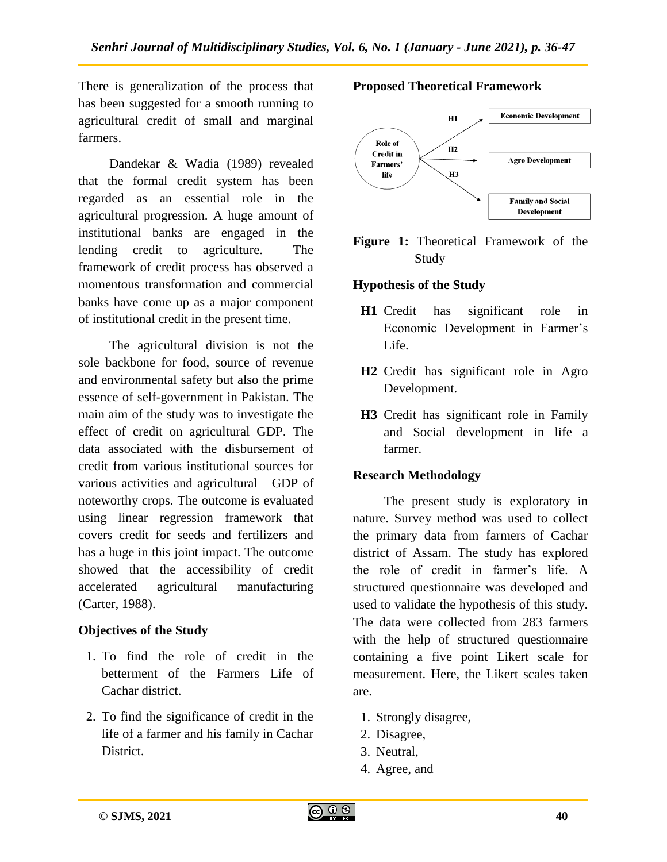There is generalization of the process that has been suggested for a smooth running to agricultural credit of small and marginal farmers.

Dandekar & Wadia (1989) revealed that the formal credit system has been regarded as an essential role in the agricultural progression. A huge amount of institutional banks are engaged in the lending credit to agriculture. The framework of credit process has observed a momentous transformation and commercial banks have come up as a major component of institutional credit in the present time.

The agricultural division is not the sole backbone for food, source of revenue and environmental safety but also the prime essence of self-government in Pakistan. The main aim of the study was to investigate the effect of credit on agricultural GDP. The data associated with the disbursement of credit from various institutional sources for various activities and agricultural GDP of noteworthy crops. The outcome is evaluated using linear regression framework that covers credit for seeds and fertilizers and has a huge in this joint impact. The outcome showed that the accessibility of credit accelerated agricultural manufacturing (Carter, 1988).

# **Objectives of the Study**

- 1. To find the role of credit in the betterment of the Farmers Life of Cachar district.
- 2. To find the significance of credit in the life of a farmer and his family in Cachar District.



**Proposed Theoretical Framework**



# **Hypothesis of the Study**

- **H1** Credit has significant role in Economic Development in Farmer's Life.
- **H2** Credit has significant role in Agro Development.
- **H3** Credit has significant role in Family and Social development in life a farmer.

## **Research Methodology**

The present study is exploratory in nature. Survey method was used to collect the primary data from farmers of Cachar district of Assam. The study has explored the role of credit in farmer's life. A structured questionnaire was developed and used to validate the hypothesis of this study. The data were collected from 283 farmers with the help of structured questionnaire containing a five point Likert scale for measurement. Here, the Likert scales taken are.

- 1. Strongly disagree,
- 2. Disagree,
- 3. Neutral,
- 4. Agree, and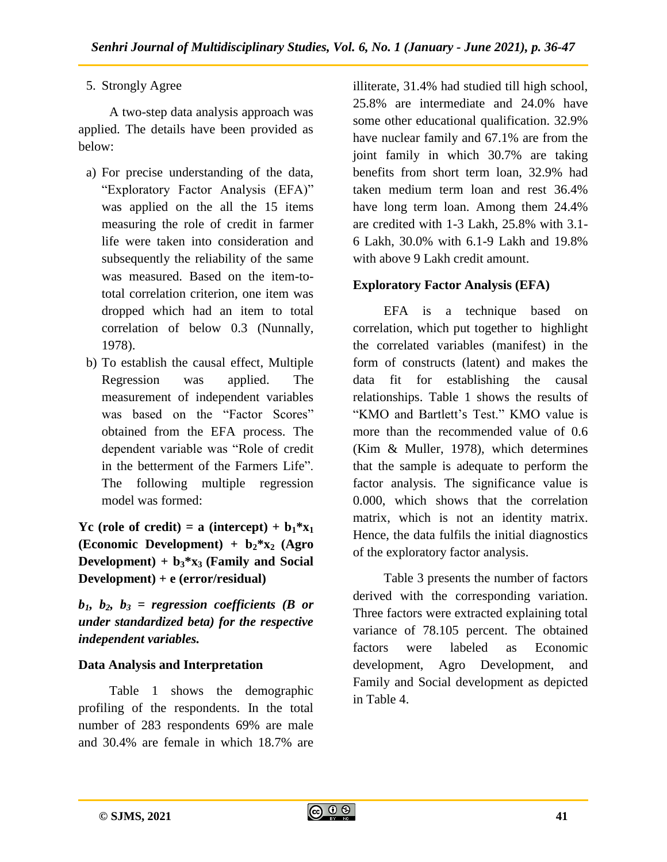# 5. Strongly Agree

A two-step data analysis approach was applied. The details have been provided as below:

- a) For precise understanding of the data, "Exploratory Factor Analysis (EFA)" was applied on the all the 15 items measuring the role of credit in farmer life were taken into consideration and subsequently the reliability of the same was measured. Based on the item-tototal correlation criterion, one item was dropped which had an item to total correlation of below 0.3 (Nunnally, 1978).
- b) To establish the causal effect, Multiple Regression was applied. The measurement of independent variables was based on the "Factor Scores" obtained from the EFA process. The dependent variable was "Role of credit in the betterment of the Farmers Life". The following multiple regression model was formed:

Yc (role of credit) = a (intercept) +  $b_1$ <sup>\*</sup> $x_1$ **(Economic Development) + b2\*x<sup>2</sup> (Agro Development**) +  $b_3$ <sup>\*</sup>x<sub>3</sub> (Family and Social **Development) + e (error/residual)**

 $b_1$ ,  $b_2$ ,  $b_3$  = regression coefficients (B or *under standardized beta) for the respective independent variables.*

# **Data Analysis and Interpretation**

Table 1 shows the demographic profiling of the respondents. In the total number of 283 respondents 69% are male and 30.4% are female in which 18.7% are

illiterate, 31.4% had studied till high school, 25.8% are intermediate and 24.0% have some other educational qualification. 32.9% have nuclear family and 67.1% are from the joint family in which 30.7% are taking benefits from short term loan, 32.9% had taken medium term loan and rest 36.4% have long term loan. Among them 24.4% are credited with 1-3 Lakh, 25.8% with 3.1- 6 Lakh, 30.0% with 6.1-9 Lakh and 19.8% with above 9 Lakh credit amount.

# **Exploratory Factor Analysis (EFA)**

EFA is a technique based on correlation, which put together to highlight the correlated variables (manifest) in the form of constructs (latent) and makes the data fit for establishing the causal relationships. Table 1 shows the results of "KMO and Bartlett's Test." KMO value is more than the recommended value of 0.6 (Kim & Muller, 1978), which determines that the sample is adequate to perform the factor analysis. The significance value is 0.000, which shows that the correlation matrix, which is not an identity matrix. Hence, the data fulfils the initial diagnostics of the exploratory factor analysis.

Table 3 presents the number of factors derived with the corresponding variation. Three factors were extracted explaining total variance of 78.105 percent. The obtained factors were labeled as Economic development, Agro Development, and Family and Social development as depicted in Table 4.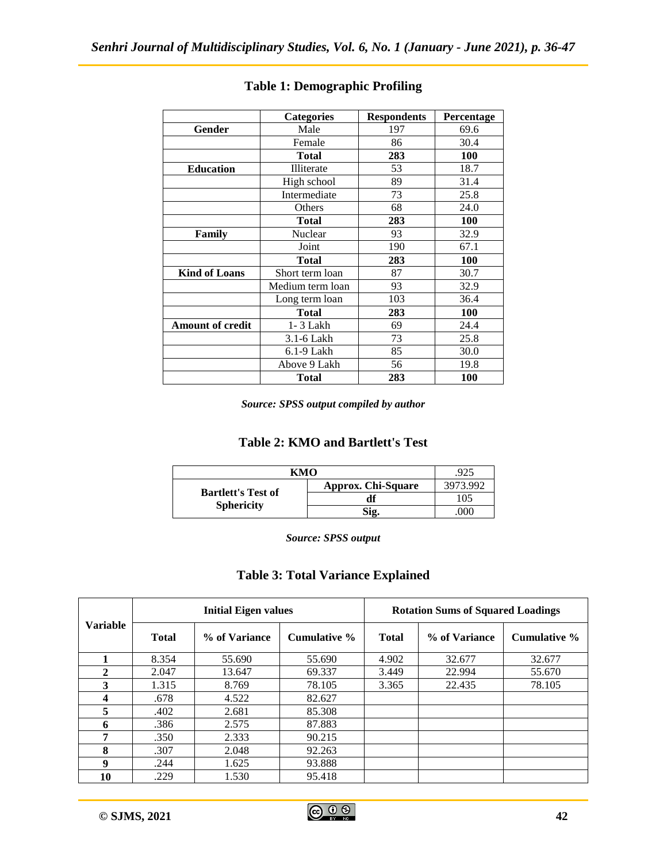|                         | <b>Categories</b> | <b>Respondents</b> | Percentage |
|-------------------------|-------------------|--------------------|------------|
| Gender                  | Male              |                    | 69.6       |
|                         | Female            | 86                 | 30.4       |
|                         | Total             | 283                | 100        |
| <b>Education</b>        | Illiterate        | 53                 | 18.7       |
|                         | High school       | 89                 | 31.4       |
|                         | Intermediate      | 73                 | 25.8       |
|                         | Others            | 68                 | 24.0       |
|                         | Total             | 283                | <b>100</b> |
| Family                  | Nuclear           | 93                 | 32.9       |
|                         | Joint             | 190                | 67.1       |
|                         | <b>Total</b>      | 283                | 100        |
| <b>Kind of Loans</b>    | Short term loan   | 87                 | 30.7       |
|                         | Medium term loan  | 93                 | 32.9       |
|                         | Long term loan    | 103                | 36.4       |
|                         | Total             | 283                | <b>100</b> |
| <b>Amount of credit</b> | $1 - 3$ Lakh      | 69                 | 24.4       |
|                         | 3.1-6 Lakh        | 73                 | 25.8       |
|                         | $6.1-9$ Lakh      | 85                 | 30.0       |
|                         | Above 9 Lakh      | 56                 | 19.8       |
|                         | Total             | 283                | <b>100</b> |

# **Table 1: Demographic Profiling**

*Source: SPSS output compiled by author*

## **Table 2: KMO and Bartlett's Test**

| кмо                                            | .925               |          |
|------------------------------------------------|--------------------|----------|
| <b>Bartlett's Test of</b><br><b>Sphericity</b> | Approx. Chi-Square | 3973.992 |
|                                                |                    | 105      |
|                                                | Sig.               | 000      |

*Source: SPSS output*

#### **Table 3: Total Variance Explained**

| <b>Variable</b> | <b>Initial Eigen values</b> |               |              | <b>Rotation Sums of Squared Loadings</b> |               |              |  |
|-----------------|-----------------------------|---------------|--------------|------------------------------------------|---------------|--------------|--|
|                 | <b>Total</b>                | % of Variance | Cumulative % | <b>Total</b>                             | % of Variance | Cumulative % |  |
|                 | 8.354                       | 55.690        | 55.690       | 4.902                                    | 32.677        | 32.677       |  |
| $\overline{2}$  | 2.047                       | 13.647        | 69.337       | 3.449                                    | 22.994        | 55.670       |  |
| 3               | 1.315                       | 8.769         | 78.105       | 3.365                                    | 22.435        | 78.105       |  |
| 4               | .678                        | 4.522         | 82.627       |                                          |               |              |  |
| 5               | .402                        | 2.681         | 85.308       |                                          |               |              |  |
| 6               | .386                        | 2.575         | 87.883       |                                          |               |              |  |
| 7               | .350                        | 2.333         | 90.215       |                                          |               |              |  |
| 8               | .307                        | 2.048         | 92.263       |                                          |               |              |  |
| 9               | .244                        | 1.625         | 93.888       |                                          |               |              |  |
| 10              | .229                        | 1.530         | 95.418       |                                          |               |              |  |

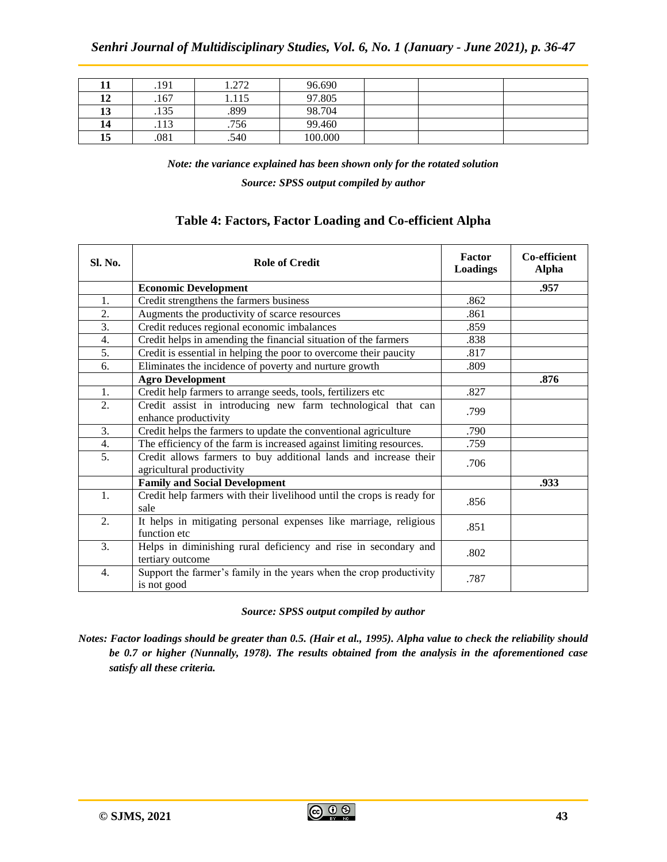|    | .191 | 1.272 | 96.690  |  |
|----|------|-------|---------|--|
| 12 | .167 | 1.115 | 97.805  |  |
| 13 | .135 | .899  | 98.704  |  |
| 14 | .113 | .756  | 99.460  |  |
| 15 | .081 | .540  | 100.000 |  |

*Note: the variance explained has been shown only for the rotated solution Source: SPSS output compiled by author*

| <b>Sl. No.</b> | <b>Role of Credit</b>                                                                         | Factor<br>Loadings | Co-efficient<br><b>Alpha</b> |
|----------------|-----------------------------------------------------------------------------------------------|--------------------|------------------------------|
|                | <b>Economic Development</b>                                                                   |                    | .957                         |
| 1.             | Credit strengthens the farmers business                                                       | .862               |                              |
| 2.             | Augments the productivity of scarce resources                                                 | .861               |                              |
| 3.             | Credit reduces regional economic imbalances                                                   | .859               |                              |
| 4.             | Credit helps in amending the financial situation of the farmers                               | .838               |                              |
| 5.             | Credit is essential in helping the poor to overcome their paucity                             | .817               |                              |
| 6.             | Eliminates the incidence of poverty and nurture growth                                        | .809               |                              |
|                | <b>Agro Development</b>                                                                       |                    | .876                         |
| 1.             | Credit help farmers to arrange seeds, tools, fertilizers etc                                  | .827               |                              |
| 2.             | Credit assist in introducing new farm technological that can<br>enhance productivity          | .799               |                              |
| 3.             | Credit helps the farmers to update the conventional agriculture                               | .790               |                              |
| 4.             | The efficiency of the farm is increased against limiting resources.                           | .759               |                              |
| 5.             | Credit allows farmers to buy additional lands and increase their<br>agricultural productivity | .706               |                              |
|                | <b>Family and Social Development</b>                                                          |                    | .933                         |
| 1.             | Credit help farmers with their livelihood until the crops is ready for<br>sale                | .856               |                              |
| 2.             | It helps in mitigating personal expenses like marriage, religious<br>function etc             | .851               |                              |
| 3.             | Helps in diminishing rural deficiency and rise in secondary and<br>tertiary outcome           | .802               |                              |
| 4.             | Support the farmer's family in the years when the crop productivity<br>is not good            | .787               |                              |

#### **Table 4: Factors, Factor Loading and Co-efficient Alpha**

*Source: SPSS output compiled by author*

*Notes: Factor loadings should be greater than 0.5. (Hair et al., 1995). Alpha value to check the reliability should be 0.7 or higher (Nunnally, 1978). The results obtained from the analysis in the aforementioned case satisfy all these criteria.*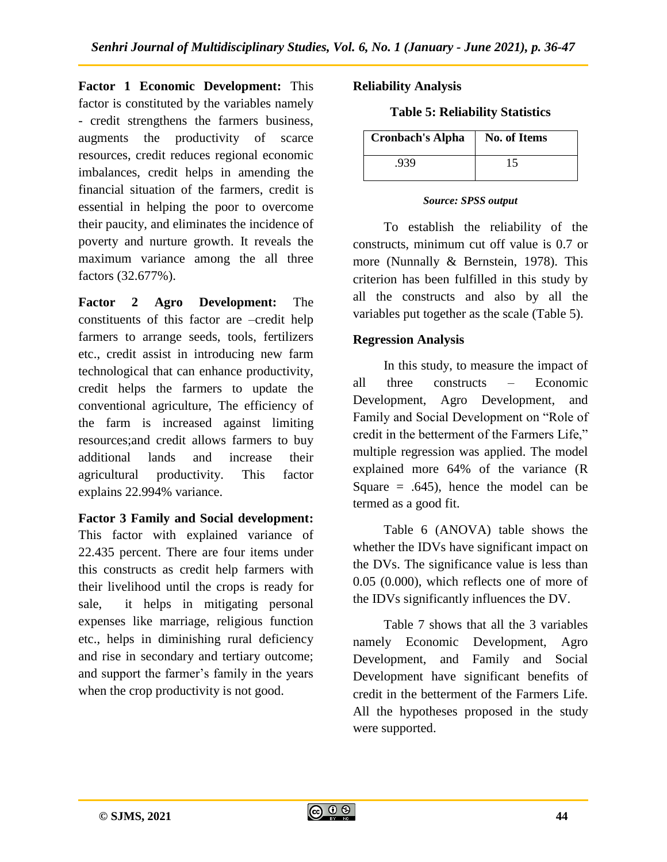**Factor 1 Economic Development:** This factor is constituted by the variables namely - credit strengthens the farmers business, augments the productivity of scarce resources, credit reduces regional economic imbalances, credit helps in amending the financial situation of the farmers, credit is essential in helping the poor to overcome their paucity, and eliminates the incidence of poverty and nurture growth. It reveals the maximum variance among the all three factors (32.677%).

**Factor 2 Agro Development:** The constituents of this factor are –credit help farmers to arrange seeds, tools, fertilizers etc., credit assist in introducing new farm technological that can enhance productivity, credit helps the farmers to update the conventional agriculture, The efficiency of the farm is increased against limiting resources;and credit allows farmers to buy additional lands and increase their agricultural productivity. This factor explains 22.994% variance.

## **Factor 3 Family and Social development:**

This factor with explained variance of 22.435 percent. There are four items under this constructs as credit help farmers with their livelihood until the crops is ready for sale, it helps in mitigating personal expenses like marriage, religious function etc., helps in diminishing rural deficiency and rise in secondary and tertiary outcome; and support the farmer's family in the years when the crop productivity is not good.

#### **Reliability Analysis**

**Table 5: Reliability Statistics**

| <b>Cronbach's Alpha</b> | No. of Items |
|-------------------------|--------------|
| .939                    | 15           |

#### *Source: SPSS output*

To establish the reliability of the constructs, minimum cut off value is 0.7 or more (Nunnally & Bernstein, 1978). This criterion has been fulfilled in this study by all the constructs and also by all the variables put together as the scale (Table 5).

## **Regression Analysis**

In this study, to measure the impact of all three constructs – Economic Development, Agro Development, and Family and Social Development on "Role of credit in the betterment of the Farmers Life," multiple regression was applied. The model explained more 64% of the variance (R Square  $= .645$ , hence the model can be termed as a good fit.

Table 6 (ANOVA) table shows the whether the IDVs have significant impact on the DVs. The significance value is less than 0.05 (0.000), which reflects one of more of the IDVs significantly influences the DV.

Table 7 shows that all the 3 variables namely Economic Development, Agro Development, and Family and Social Development have significant benefits of credit in the betterment of the Farmers Life. All the hypotheses proposed in the study were supported.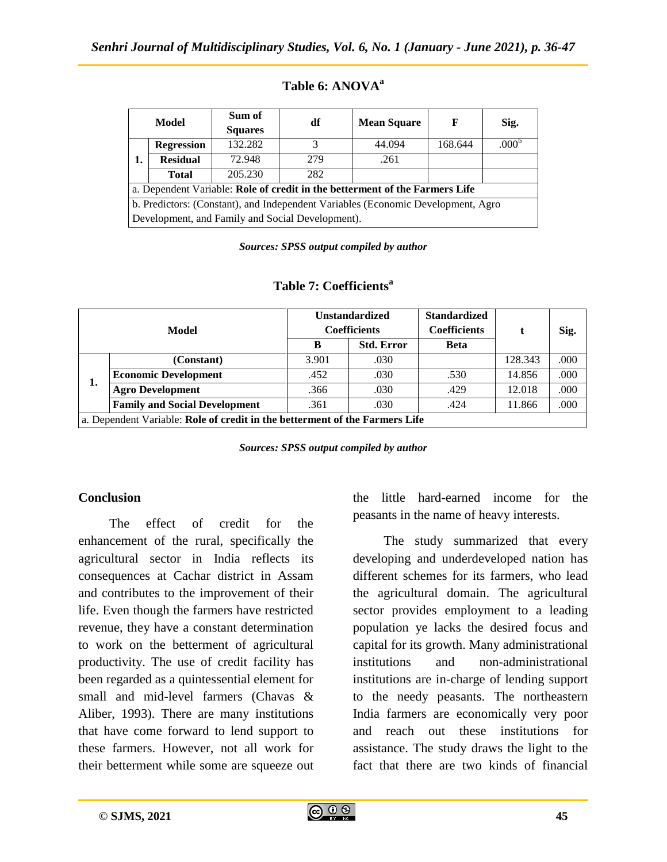|                                                                                  | Model             | Sum of<br><b>Squares</b> | df  | <b>Mean Square</b> | F       | Sig.              |
|----------------------------------------------------------------------------------|-------------------|--------------------------|-----|--------------------|---------|-------------------|
|                                                                                  | <b>Regression</b> | 132.282                  | 3   | 44.094             | 168.644 | .000 <sup>t</sup> |
| 1.                                                                               | <b>Residual</b>   | 72.948                   | 279 | .261               |         |                   |
|                                                                                  | <b>Total</b>      | 205.230                  | 282 |                    |         |                   |
| a. Dependent Variable: Role of credit in the betterment of the Farmers Life      |                   |                          |     |                    |         |                   |
| b. Predictors: (Constant), and Independent Variables (Economic Development, Agro |                   |                          |     |                    |         |                   |
| Development, and Family and Social Development).                                 |                   |                          |     |                    |         |                   |

#### **Table 6: ANOVA<sup>a</sup>**

*Sources: SPSS output compiled by author*

| Model                                                                       |                                      | <b>Unstandardized</b>                    |      | <b>Standardized</b>                |         |      |  |
|-----------------------------------------------------------------------------|--------------------------------------|------------------------------------------|------|------------------------------------|---------|------|--|
|                                                                             |                                      | <b>Coefficients</b><br><b>Std. Error</b> |      | <b>Coefficients</b><br><b>Beta</b> |         | Sig. |  |
|                                                                             | (Constant)                           | 3.901                                    | .030 |                                    | 128.343 | .000 |  |
| 1.                                                                          | <b>Economic Development</b>          | .452                                     | .030 | .530                               | 14.856  | .000 |  |
|                                                                             | <b>Agro Development</b>              | .366                                     | .030 | .429                               | 12.018  | .000 |  |
|                                                                             | <b>Family and Social Development</b> | .361                                     | .030 | .424                               | 11.866  | .000 |  |
| a. Dependent Variable: Role of credit in the betterment of the Farmers Life |                                      |                                          |      |                                    |         |      |  |

#### **Table 7: Coefficients<sup>a</sup>**

*Sources: SPSS output compiled by author*

#### **Conclusion**

The effect of credit for the enhancement of the rural, specifically the agricultural sector in India reflects its consequences at Cachar district in Assam and contributes to the improvement of their life. Even though the farmers have restricted revenue, they have a constant determination to work on the betterment of agricultural productivity. The use of credit facility has been regarded as a quintessential element for small and mid-level farmers (Chavas & Aliber, 1993). There are many institutions that have come forward to lend support to these farmers. However, not all work for their betterment while some are squeeze out

the little hard-earned income for the peasants in the name of heavy interests.

The study summarized that every developing and underdeveloped nation has different schemes for its farmers, who lead the agricultural domain. The agricultural sector provides employment to a leading population ye lacks the desired focus and capital for its growth. Many administrational institutions and non-administrational institutions are in-charge of lending support to the needy peasants. The northeastern India farmers are economically very poor and reach out these institutions for assistance. The study draws the light to the fact that there are two kinds of financial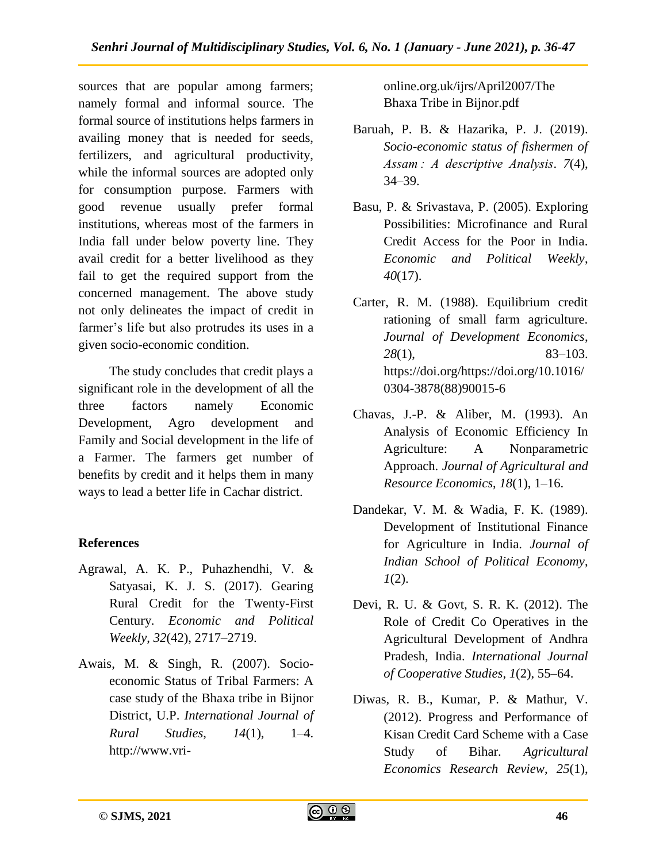sources that are popular among farmers; namely formal and informal source. The formal source of institutions helps farmers in availing money that is needed for seeds, fertilizers, and agricultural productivity, while the informal sources are adopted only for consumption purpose. Farmers with good revenue usually prefer formal institutions, whereas most of the farmers in India fall under below poverty line. They avail credit for a better livelihood as they fail to get the required support from the concerned management. The above study not only delineates the impact of credit in farmer's life but also protrudes its uses in a given socio-economic condition.

The study concludes that credit plays a significant role in the development of all the three factors namely Economic Development, Agro development and Family and Social development in the life of a Farmer. The farmers get number of benefits by credit and it helps them in many ways to lead a better life in Cachar district.

# **References**

- Agrawal, A. K. P., Puhazhendhi, V. & Satyasai, K. J. S. (2017). Gearing Rural Credit for the Twenty-First Century. *Economic and Political Weekly*, *32*(42), 2717–2719.
- Awais, M. & Singh, R. (2007). Socioeconomic Status of Tribal Farmers: A case study of the Bhaxa tribe in Bijnor District, U.P. *International Journal of Rural Studies*, *14*(1), 1–4. http://www.vri-

online.org.uk/ijrs/April2007/The Bhaxa Tribe in Bijnor.pdf

- Baruah, P. B. & Hazarika, P. J. (2019). *Socio-economic status of fishermen of Assam : A descriptive Analysis*. *7*(4), 34–39.
- Basu, P. & Srivastava, P. (2005). Exploring Possibilities: Microfinance and Rural Credit Access for the Poor in India. *Economic and Political Weekly*, *40*(17).
- Carter, R. M. (1988). Equilibrium credit rationing of small farm agriculture. *Journal of Development Economics*, *28*(1), 83–103. https://doi.org/https://doi.org/10.1016/ 0304-3878(88)90015-6
- Chavas, J.-P. & Aliber, M. (1993). An Analysis of Economic Efficiency In Agriculture: A Nonparametric Approach. *Journal of Agricultural and Resource Economics*, *18*(1), 1–16.
- Dandekar, V. M. & Wadia, F. K. (1989). Development of Institutional Finance for Agriculture in India. *Journal of Indian School of Political Economy*, *1*(2).
- Devi, R. U. & Govt, S. R. K. (2012). The Role of Credit Co Operatives in the Agricultural Development of Andhra Pradesh, India. *International Journal of Cooperative Studies*, *1*(2), 55–64.
- Diwas, R. B., Kumar, P. & Mathur, V. (2012). Progress and Performance of Kisan Credit Card Scheme with a Case Study of Bihar. *Agricultural Economics Research Review*, *25*(1),